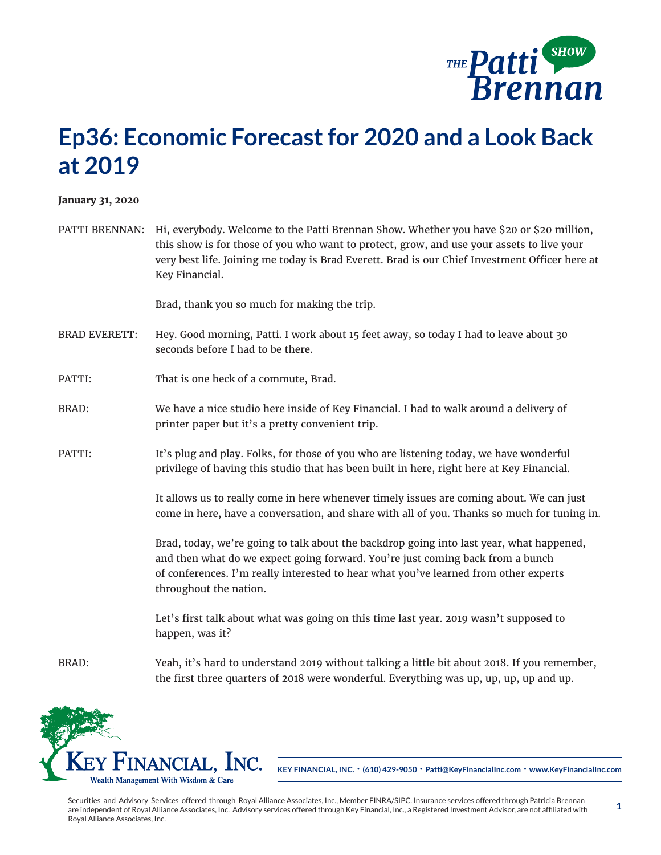

## **Ep36: Economic Forecast for 2020 and a Look Back at 2019**

**January 31, 2020**

| PATTI BRENNAN: Hi, everybody. Welcome to the Patti Brennan Show. Whether you have \$20 or \$20 million, |
|---------------------------------------------------------------------------------------------------------|
| this show is for those of you who want to protect, grow, and use your assets to live your               |
| very best life. Joining me today is Brad Everett. Brad is our Chief Investment Officer here at          |
| Kev Financial.                                                                                          |

Brad, thank you so much for making the trip.

- BRAD EVERETT: Hey. Good morning, Patti. I work about 15 feet away, so today I had to leave about 30 seconds before I had to be there.
- PATTI: That is one heck of a commute, Brad.
- BRAD: We have a nice studio here inside of Key Financial. I had to walk around a delivery of printer paper but it's a pretty convenient trip.
- PATTI: It's plug and play. Folks, for those of you who are listening today, we have wonderful privilege of having this studio that has been built in here, right here at Key Financial.

It allows us to really come in here whenever timely issues are coming about. We can just come in here, have a conversation, and share with all of you. Thanks so much for tuning in.

Brad, today, we're going to talk about the backdrop going into last year, what happened, and then what do we expect going forward. You're just coming back from a bunch of conferences. I'm really interested to hear what you've learned from other experts throughout the nation.

Let's first talk about what was going on this time last year. 2019 wasn't supposed to happen, was it?

BRAD: Yeah, it's hard to understand 2019 without talking a little bit about 2018. If you remember, the first three quarters of 2018 were wonderful. Everything was up, up, up, up and up.



**KEY FINANCIAL, INC. • (610) 429-9050 • Patti@KeyFinancialInc.com • www.KeyFinancialInc.com**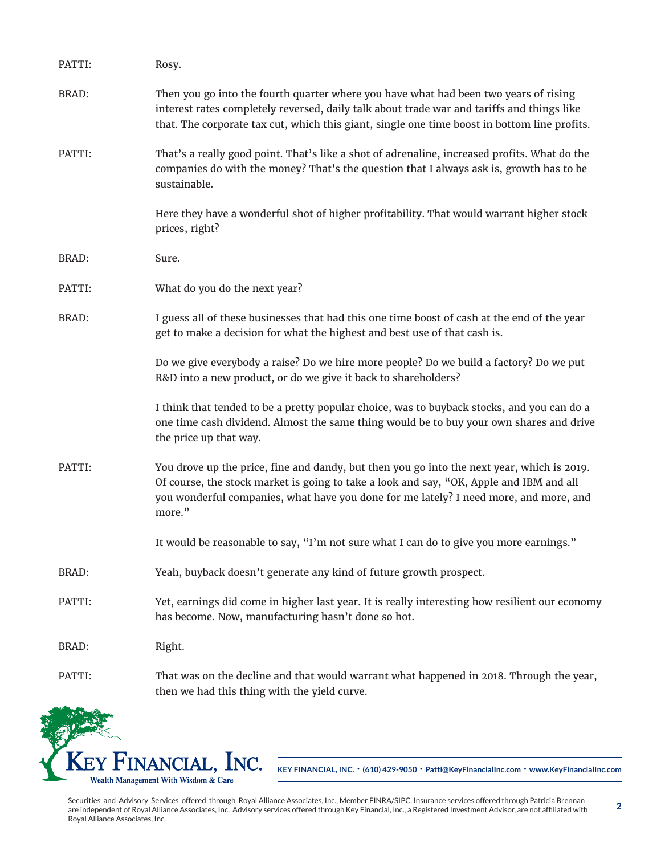| PATTI:       | Rosy.                                                                                                                                                                                                                                                                                    |
|--------------|------------------------------------------------------------------------------------------------------------------------------------------------------------------------------------------------------------------------------------------------------------------------------------------|
| <b>BRAD:</b> | Then you go into the fourth quarter where you have what had been two years of rising<br>interest rates completely reversed, daily talk about trade war and tariffs and things like<br>that. The corporate tax cut, which this giant, single one time boost in bottom line profits.       |
| PATTI:       | That's a really good point. That's like a shot of adrenaline, increased profits. What do the<br>companies do with the money? That's the question that I always ask is, growth has to be<br>sustainable.                                                                                  |
|              | Here they have a wonderful shot of higher profitability. That would warrant higher stock<br>prices, right?                                                                                                                                                                               |
| BRAD:        | Sure.                                                                                                                                                                                                                                                                                    |
| PATTI:       | What do you do the next year?                                                                                                                                                                                                                                                            |
| <b>BRAD:</b> | I guess all of these businesses that had this one time boost of cash at the end of the year<br>get to make a decision for what the highest and best use of that cash is.                                                                                                                 |
|              | Do we give everybody a raise? Do we hire more people? Do we build a factory? Do we put<br>R&D into a new product, or do we give it back to shareholders?                                                                                                                                 |
|              | I think that tended to be a pretty popular choice, was to buyback stocks, and you can do a<br>one time cash dividend. Almost the same thing would be to buy your own shares and drive<br>the price up that way.                                                                          |
| PATTI:       | You drove up the price, fine and dandy, but then you go into the next year, which is 2019.<br>Of course, the stock market is going to take a look and say, "OK, Apple and IBM and all<br>you wonderful companies, what have you done for me lately? I need more, and more, and<br>more." |
|              | It would be reasonable to say, "I'm not sure what I can do to give you more earnings."                                                                                                                                                                                                   |
| <b>BRAD:</b> | Yeah, buyback doesn't generate any kind of future growth prospect.                                                                                                                                                                                                                       |
| PATTI:       | Yet, earnings did come in higher last year. It is really interesting how resilient our economy<br>has become. Now, manufacturing hasn't done so hot.                                                                                                                                     |
| <b>BRAD:</b> | Right.                                                                                                                                                                                                                                                                                   |
| PATTI:       | That was on the decline and that would warrant what happened in 2018. Through the year,<br>then we had this thing with the yield curve.                                                                                                                                                  |

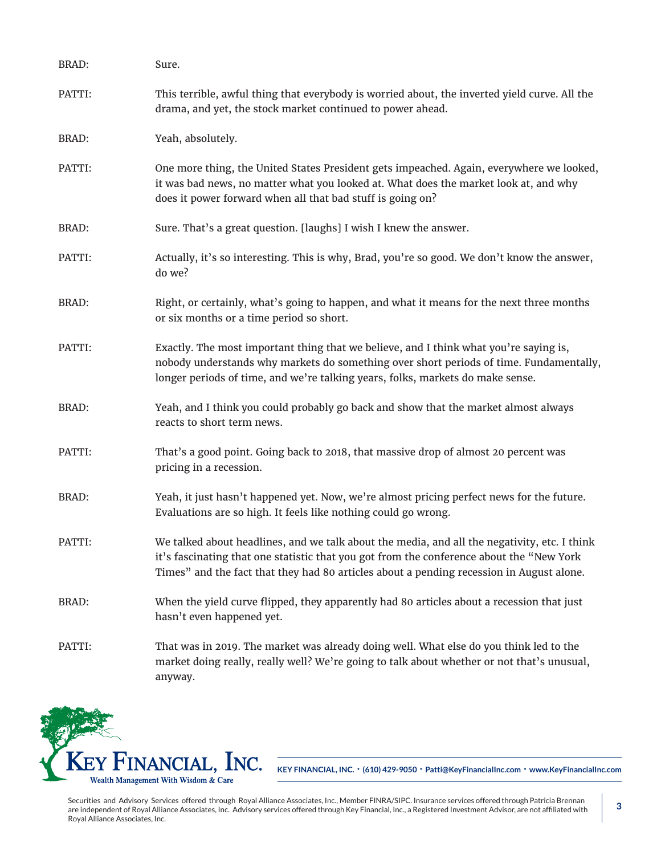| <b>BRAD:</b> | Sure.                                                                                                                                                                                                                                                                                |
|--------------|--------------------------------------------------------------------------------------------------------------------------------------------------------------------------------------------------------------------------------------------------------------------------------------|
| PATTI:       | This terrible, awful thing that everybody is worried about, the inverted yield curve. All the<br>drama, and yet, the stock market continued to power ahead.                                                                                                                          |
| <b>BRAD:</b> | Yeah, absolutely.                                                                                                                                                                                                                                                                    |
| PATTI:       | One more thing, the United States President gets impeached. Again, everywhere we looked,<br>it was bad news, no matter what you looked at. What does the market look at, and why<br>does it power forward when all that bad stuff is going on?                                       |
| BRAD:        | Sure. That's a great question. [laughs] I wish I knew the answer.                                                                                                                                                                                                                    |
| PATTI:       | Actually, it's so interesting. This is why, Brad, you're so good. We don't know the answer,<br>do we?                                                                                                                                                                                |
| <b>BRAD:</b> | Right, or certainly, what's going to happen, and what it means for the next three months<br>or six months or a time period so short.                                                                                                                                                 |
| PATTI:       | Exactly. The most important thing that we believe, and I think what you're saying is,<br>nobody understands why markets do something over short periods of time. Fundamentally,<br>longer periods of time, and we're talking years, folks, markets do make sense.                    |
| <b>BRAD:</b> | Yeah, and I think you could probably go back and show that the market almost always<br>reacts to short term news.                                                                                                                                                                    |
| PATTI:       | That's a good point. Going back to 2018, that massive drop of almost 20 percent was<br>pricing in a recession.                                                                                                                                                                       |
| <b>BRAD:</b> | Yeah, it just hasn't happened yet. Now, we're almost pricing perfect news for the future.<br>Evaluations are so high. It feels like nothing could go wrong.                                                                                                                          |
| PATTI:       | We talked about headlines, and we talk about the media, and all the negativity, etc. I think<br>it's fascinating that one statistic that you got from the conference about the "New York<br>Times" and the fact that they had 80 articles about a pending recession in August alone. |
| BRAD:        | When the yield curve flipped, they apparently had 80 articles about a recession that just<br>hasn't even happened yet.                                                                                                                                                               |
| PATTI:       | That was in 2019. The market was already doing well. What else do you think led to the<br>market doing really, really well? We're going to talk about whether or not that's unusual,<br>anyway.                                                                                      |

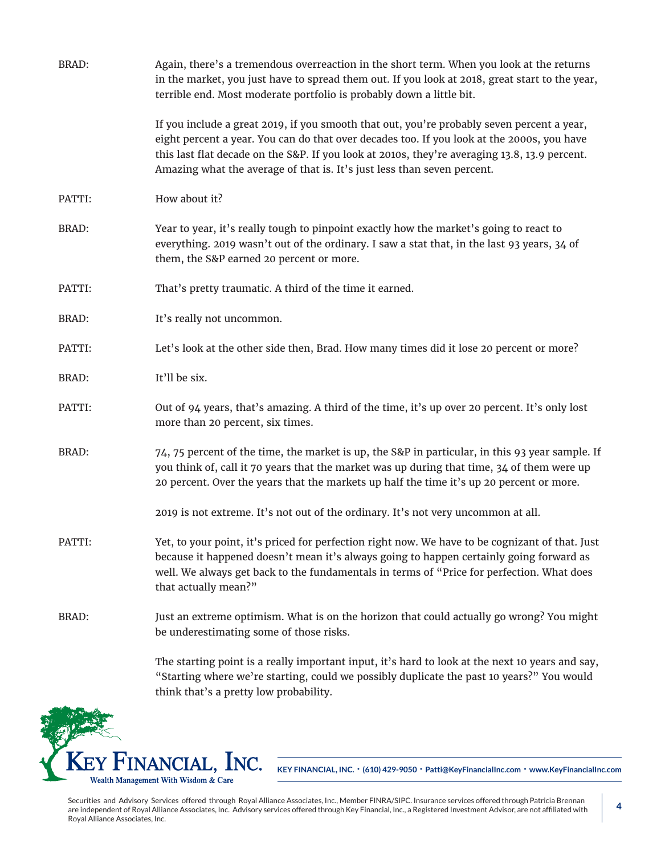| <b>BRAD:</b> | Again, there's a tremendous overreaction in the short term. When you look at the returns<br>in the market, you just have to spread them out. If you look at 2018, great start to the year,<br>terrible end. Most moderate portfolio is probably down a little bit.                                                                                                   |
|--------------|----------------------------------------------------------------------------------------------------------------------------------------------------------------------------------------------------------------------------------------------------------------------------------------------------------------------------------------------------------------------|
|              | If you include a great 2019, if you smooth that out, you're probably seven percent a year,<br>eight percent a year. You can do that over decades too. If you look at the 2000s, you have<br>this last flat decade on the S&P. If you look at 2010s, they're averaging 13.8, 13.9 percent.<br>Amazing what the average of that is. It's just less than seven percent. |
| PATTI:       | How about it?                                                                                                                                                                                                                                                                                                                                                        |
| <b>BRAD:</b> | Year to year, it's really tough to pinpoint exactly how the market's going to react to<br>everything. 2019 wasn't out of the ordinary. I saw a stat that, in the last 93 years, 34 of<br>them, the S&P earned 20 percent or more.                                                                                                                                    |
| PATTI:       | That's pretty traumatic. A third of the time it earned.                                                                                                                                                                                                                                                                                                              |
| <b>BRAD:</b> | It's really not uncommon.                                                                                                                                                                                                                                                                                                                                            |
| PATTI:       | Let's look at the other side then, Brad. How many times did it lose 20 percent or more?                                                                                                                                                                                                                                                                              |
| <b>BRAD:</b> | It'll be six.                                                                                                                                                                                                                                                                                                                                                        |
| PATTI:       | Out of 94 years, that's amazing. A third of the time, it's up over 20 percent. It's only lost<br>more than 20 percent, six times.                                                                                                                                                                                                                                    |
| <b>BRAD:</b> | 74, 75 percent of the time, the market is up, the S&P in particular, in this 93 year sample. If<br>you think of, call it 70 years that the market was up during that time, 34 of them were up<br>20 percent. Over the years that the markets up half the time it's up 20 percent or more.                                                                            |
|              | 2019 is not extreme. It's not out of the ordinary. It's not very uncommon at all.                                                                                                                                                                                                                                                                                    |
| PATTI:       | Yet, to your point, it's priced for perfection right now. We have to be cognizant of that. Just<br>because it happened doesn't mean it's always going to happen certainly going forward as<br>well. We always get back to the fundamentals in terms of "Price for perfection. What does<br>that actually mean?"                                                      |
| <b>BRAD:</b> | Just an extreme optimism. What is on the horizon that could actually go wrong? You might<br>be underestimating some of those risks.                                                                                                                                                                                                                                  |
|              | The starting point is a really important input, it's hard to look at the next 10 years and say,<br>"Starting where we're starting, could we possibly duplicate the past 10 years?" You would                                                                                                                                                                         |

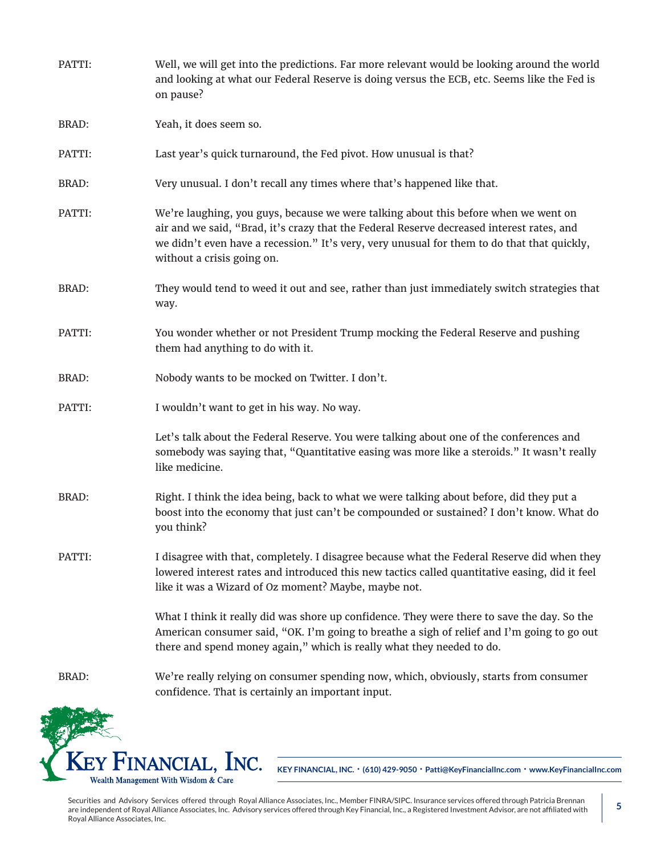| PATTI:       | Well, we will get into the predictions. Far more relevant would be looking around the world<br>and looking at what our Federal Reserve is doing versus the ECB, etc. Seems like the Fed is<br>on pause?                                                                                                       |
|--------------|---------------------------------------------------------------------------------------------------------------------------------------------------------------------------------------------------------------------------------------------------------------------------------------------------------------|
| <b>BRAD:</b> | Yeah, it does seem so.                                                                                                                                                                                                                                                                                        |
| PATTI:       | Last year's quick turnaround, the Fed pivot. How unusual is that?                                                                                                                                                                                                                                             |
| <b>BRAD:</b> | Very unusual. I don't recall any times where that's happened like that.                                                                                                                                                                                                                                       |
| PATTI:       | We're laughing, you guys, because we were talking about this before when we went on<br>air and we said, "Brad, it's crazy that the Federal Reserve decreased interest rates, and<br>we didn't even have a recession." It's very, very unusual for them to do that that quickly,<br>without a crisis going on. |
| <b>BRAD:</b> | They would tend to weed it out and see, rather than just immediately switch strategies that<br>way.                                                                                                                                                                                                           |
| PATTI:       | You wonder whether or not President Trump mocking the Federal Reserve and pushing<br>them had anything to do with it.                                                                                                                                                                                         |
| <b>BRAD:</b> | Nobody wants to be mocked on Twitter. I don't.                                                                                                                                                                                                                                                                |
| PATTI:       | I wouldn't want to get in his way. No way.                                                                                                                                                                                                                                                                    |
|              | Let's talk about the Federal Reserve. You were talking about one of the conferences and<br>somebody was saying that, "Quantitative easing was more like a steroids." It wasn't really<br>like medicine.                                                                                                       |
| <b>BRAD:</b> | Right. I think the idea being, back to what we were talking about before, did they put a<br>boost into the economy that just can't be compounded or sustained? I don't know. What do<br>you think?                                                                                                            |
| PATTI:       | I disagree with that, completely. I disagree because what the Federal Reserve did when they<br>lowered interest rates and introduced this new tactics called quantitative easing, did it feel<br>like it was a Wizard of Oz moment? Maybe, maybe not.                                                         |
|              | What I think it really did was shore up confidence. They were there to save the day. So the<br>American consumer said, "OK. I'm going to breathe a sigh of relief and I'm going to go out<br>there and spend money again," which is really what they needed to do.                                            |
| <b>BRAD:</b> | We're really relying on consumer spending now, which, obviously, starts from consumer<br>confidence. That is certainly an important input.                                                                                                                                                                    |
|              |                                                                                                                                                                                                                                                                                                               |

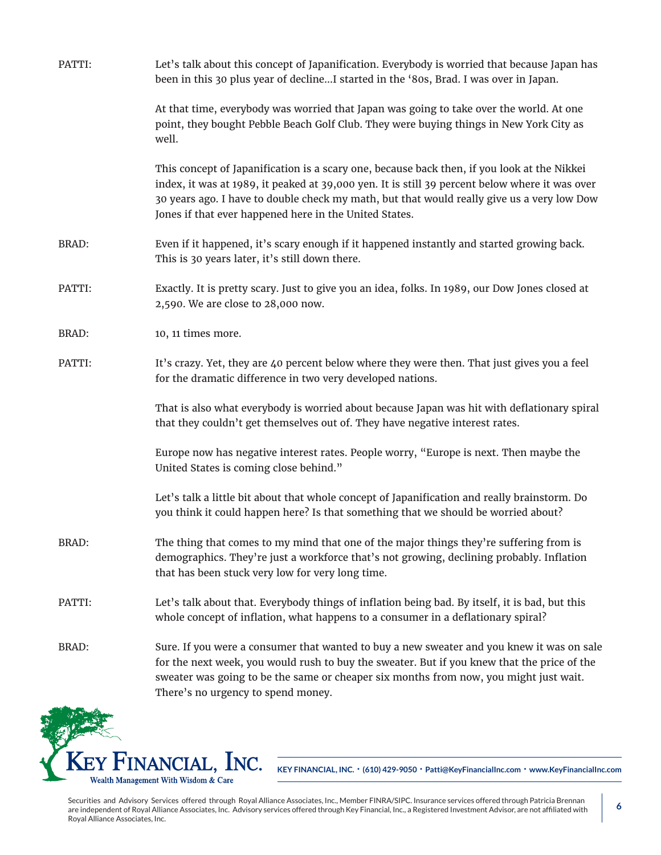| PATTI:       | Let's talk about this concept of Japanification. Everybody is worried that because Japan has<br>been in this 30 plus year of declineI started in the '80s, Brad. I was over in Japan.                                                                                                                                                                 |
|--------------|-------------------------------------------------------------------------------------------------------------------------------------------------------------------------------------------------------------------------------------------------------------------------------------------------------------------------------------------------------|
|              | At that time, everybody was worried that Japan was going to take over the world. At one<br>point, they bought Pebble Beach Golf Club. They were buying things in New York City as<br>well.                                                                                                                                                            |
|              | This concept of Japanification is a scary one, because back then, if you look at the Nikkei<br>index, it was at 1989, it peaked at 39,000 yen. It is still 39 percent below where it was over<br>30 years ago. I have to double check my math, but that would really give us a very low Dow<br>Jones if that ever happened here in the United States. |
| BRAD:        | Even if it happened, it's scary enough if it happened instantly and started growing back.<br>This is 30 years later, it's still down there.                                                                                                                                                                                                           |
| PATTI:       | Exactly. It is pretty scary. Just to give you an idea, folks. In 1989, our Dow Jones closed at<br>2,590. We are close to 28,000 now.                                                                                                                                                                                                                  |
| <b>BRAD:</b> | 10, 11 times more.                                                                                                                                                                                                                                                                                                                                    |
| PATTI:       | It's crazy. Yet, they are 40 percent below where they were then. That just gives you a feel<br>for the dramatic difference in two very developed nations.                                                                                                                                                                                             |
|              | That is also what everybody is worried about because Japan was hit with deflationary spiral<br>that they couldn't get themselves out of. They have negative interest rates.                                                                                                                                                                           |
|              | Europe now has negative interest rates. People worry, "Europe is next. Then maybe the<br>United States is coming close behind."                                                                                                                                                                                                                       |
|              | Let's talk a little bit about that whole concept of Japanification and really brainstorm. Do<br>you think it could happen here? Is that something that we should be worried about?                                                                                                                                                                    |
| BRAD:        | The thing that comes to my mind that one of the major things they're suffering from is<br>demographics. They're just a workforce that's not growing, declining probably. Inflation<br>that has been stuck very low for very long time.                                                                                                                |
| PATTI:       | Let's talk about that. Everybody things of inflation being bad. By itself, it is bad, but this<br>whole concept of inflation, what happens to a consumer in a deflationary spiral?                                                                                                                                                                    |
| <b>BRAD:</b> | Sure. If you were a consumer that wanted to buy a new sweater and you knew it was on sale<br>for the next week, you would rush to buy the sweater. But if you knew that the price of the<br>sweater was going to be the same or cheaper six months from now, you might just wait.<br>There's no urgency to spend money.                               |

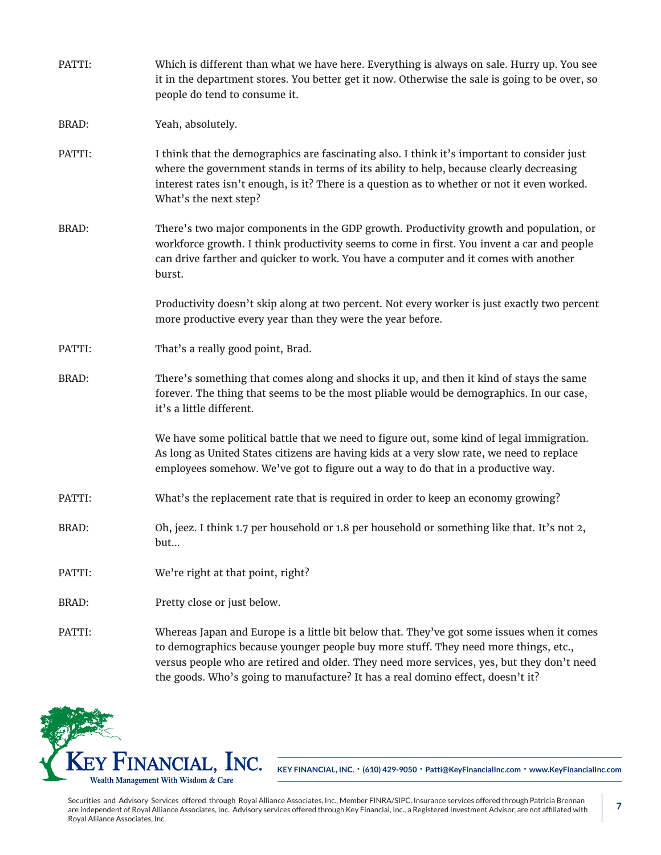| PATTI:       | Which is different than what we have here. Everything is always on sale. Hurry up. You see<br>it in the department stores. You better get it now. Otherwise the sale is going to be over, so<br>people do tend to consume it.                                                                                                                                      |
|--------------|--------------------------------------------------------------------------------------------------------------------------------------------------------------------------------------------------------------------------------------------------------------------------------------------------------------------------------------------------------------------|
| <b>BRAD:</b> | Yeah, absolutely.                                                                                                                                                                                                                                                                                                                                                  |
| PATTI:       | I think that the demographics are fascinating also. I think it's important to consider just<br>where the government stands in terms of its ability to help, because clearly decreasing<br>interest rates isn't enough, is it? There is a question as to whether or not it even worked.<br>What's the next step?                                                    |
| <b>BRAD:</b> | There's two major components in the GDP growth. Productivity growth and population, or<br>workforce growth. I think productivity seems to come in first. You invent a car and people<br>can drive farther and quicker to work. You have a computer and it comes with another<br>burst.                                                                             |
|              | Productivity doesn't skip along at two percent. Not every worker is just exactly two percent<br>more productive every year than they were the year before.                                                                                                                                                                                                         |
| PATTI:       | That's a really good point, Brad.                                                                                                                                                                                                                                                                                                                                  |
| <b>BRAD:</b> | There's something that comes along and shocks it up, and then it kind of stays the same<br>forever. The thing that seems to be the most pliable would be demographics. In our case,<br>it's a little different.                                                                                                                                                    |
|              | We have some political battle that we need to figure out, some kind of legal immigration.<br>As long as United States citizens are having kids at a very slow rate, we need to replace<br>employees somehow. We've got to figure out a way to do that in a productive way.                                                                                         |
| PATTI:       | What's the replacement rate that is required in order to keep an economy growing?                                                                                                                                                                                                                                                                                  |
| BRAD:        | Oh, jeez. I think 1.7 per household or 1.8 per household or something like that. It's not 2,<br>but                                                                                                                                                                                                                                                                |
| PATTI:       | We're right at that point, right?                                                                                                                                                                                                                                                                                                                                  |
| BRAD:        | Pretty close or just below.                                                                                                                                                                                                                                                                                                                                        |
| PATTI:       | Whereas Japan and Europe is a little bit below that. They've got some issues when it comes<br>to demographics because younger people buy more stuff. They need more things, etc.,<br>versus people who are retired and older. They need more services, yes, but they don't need<br>the goods. Who's going to manufacture? It has a real domino effect, doesn't it? |

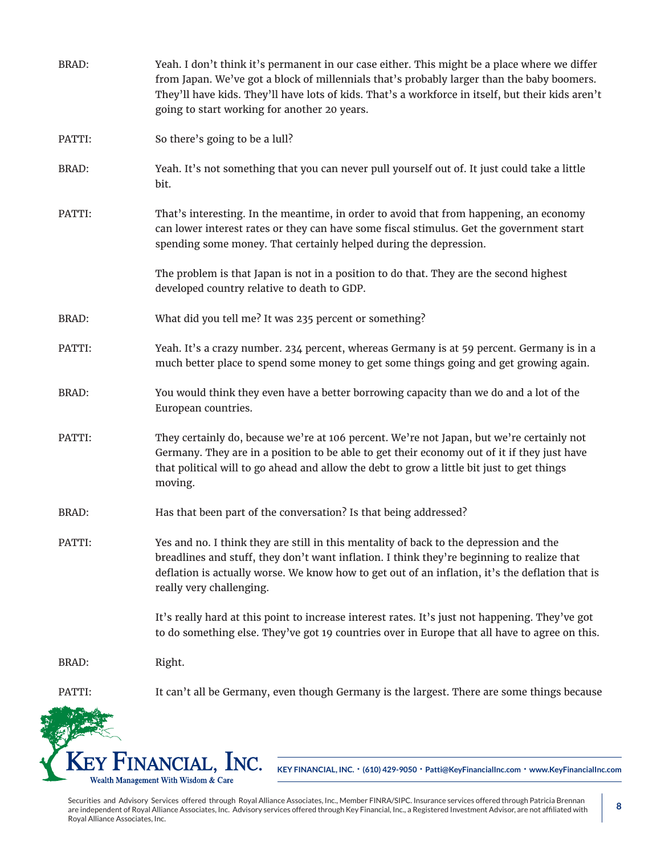| <b>BRAD:</b> | Yeah. I don't think it's permanent in our case either. This might be a place where we differ<br>from Japan. We've got a block of millennials that's probably larger than the baby boomers.<br>They'll have kids. They'll have lots of kids. That's a workforce in itself, but their kids aren't<br>going to start working for another 20 years. |
|--------------|-------------------------------------------------------------------------------------------------------------------------------------------------------------------------------------------------------------------------------------------------------------------------------------------------------------------------------------------------|
| PATTI:       | So there's going to be a lull?                                                                                                                                                                                                                                                                                                                  |
| <b>BRAD:</b> | Yeah. It's not something that you can never pull yourself out of. It just could take a little<br>bit.                                                                                                                                                                                                                                           |
| PATTI:       | That's interesting. In the meantime, in order to avoid that from happening, an economy<br>can lower interest rates or they can have some fiscal stimulus. Get the government start<br>spending some money. That certainly helped during the depression.                                                                                         |
|              | The problem is that Japan is not in a position to do that. They are the second highest<br>developed country relative to death to GDP.                                                                                                                                                                                                           |
| <b>BRAD:</b> | What did you tell me? It was 235 percent or something?                                                                                                                                                                                                                                                                                          |
| PATTI:       | Yeah. It's a crazy number. 234 percent, whereas Germany is at 59 percent. Germany is in a<br>much better place to spend some money to get some things going and get growing again.                                                                                                                                                              |
| <b>BRAD:</b> | You would think they even have a better borrowing capacity than we do and a lot of the<br>European countries.                                                                                                                                                                                                                                   |
| PATTI:       | They certainly do, because we're at 106 percent. We're not Japan, but we're certainly not<br>Germany. They are in a position to be able to get their economy out of it if they just have<br>that political will to go ahead and allow the debt to grow a little bit just to get things<br>moving.                                               |
| <b>BRAD:</b> | Has that been part of the conversation? Is that being addressed?                                                                                                                                                                                                                                                                                |
| PATTI:       | Yes and no. I think they are still in this mentality of back to the depression and the<br>breadlines and stuff, they don't want inflation. I think they're beginning to realize that<br>deflation is actually worse. We know how to get out of an inflation, it's the deflation that is<br>really very challenging.                             |
|              | It's really hard at this point to increase interest rates. It's just not happening. They've got<br>to do something else. They've got 19 countries over in Europe that all have to agree on this.                                                                                                                                                |
| BRAD:        | Right.                                                                                                                                                                                                                                                                                                                                          |
| PATTI:       | It can't all be Germany, even though Germany is the largest. There are some things because                                                                                                                                                                                                                                                      |
|              | KEY FINANCIAL, INC.<br>KEY FINANCIAL, INC. . (610) 429-9050 . Patti@KeyFinancialInc.com . www.KeyFinancialInc.com                                                                                                                                                                                                                               |

Securities and Advisory Services offered through Royal Alliance Associates, Inc., Member FINRA/SIPC. Insurance services offered through Patricia Brennan are independent of Royal Alliance Associates, Inc. Advisory services offered through Key Financial, Inc., a Registered Investment Advisor, are not affiliated with Royal Alliance Associates, Inc.

25

Wealth Management With Wisdom & Care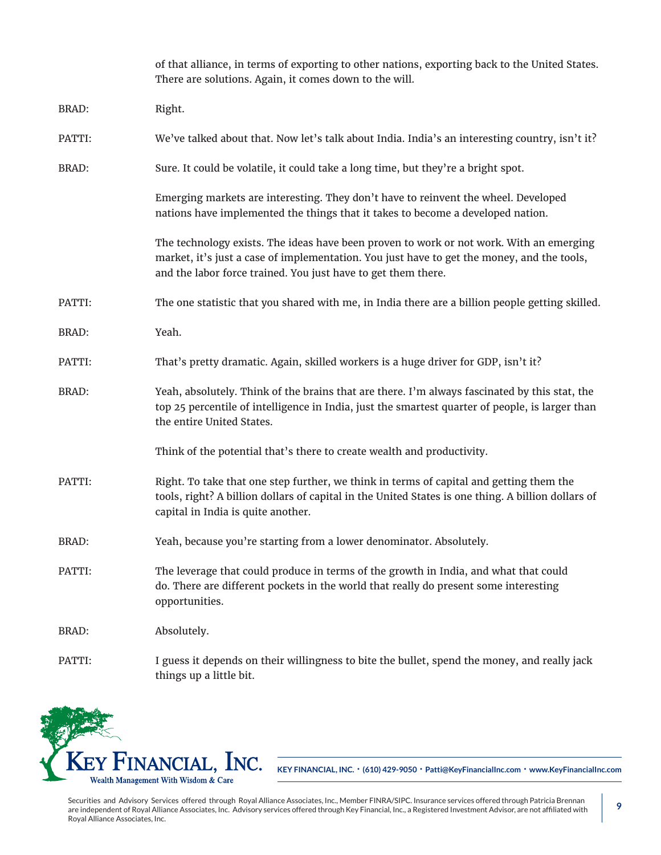|              | of that alliance, in terms of exporting to other nations, exporting back to the United States.<br>There are solutions. Again, it comes down to the will.                                                                                               |
|--------------|--------------------------------------------------------------------------------------------------------------------------------------------------------------------------------------------------------------------------------------------------------|
| <b>BRAD:</b> | Right.                                                                                                                                                                                                                                                 |
| PATTI:       | We've talked about that. Now let's talk about India. India's an interesting country, isn't it?                                                                                                                                                         |
| <b>BRAD:</b> | Sure. It could be volatile, it could take a long time, but they're a bright spot.                                                                                                                                                                      |
|              | Emerging markets are interesting. They don't have to reinvent the wheel. Developed<br>nations have implemented the things that it takes to become a developed nation.                                                                                  |
|              | The technology exists. The ideas have been proven to work or not work. With an emerging<br>market, it's just a case of implementation. You just have to get the money, and the tools,<br>and the labor force trained. You just have to get them there. |
| PATTI:       | The one statistic that you shared with me, in India there are a billion people getting skilled.                                                                                                                                                        |
| BRAD:        | Yeah.                                                                                                                                                                                                                                                  |
| PATTI:       | That's pretty dramatic. Again, skilled workers is a huge driver for GDP, isn't it?                                                                                                                                                                     |
| <b>BRAD:</b> | Yeah, absolutely. Think of the brains that are there. I'm always fascinated by this stat, the<br>top 25 percentile of intelligence in India, just the smartest quarter of people, is larger than<br>the entire United States.                          |
|              | Think of the potential that's there to create wealth and productivity.                                                                                                                                                                                 |
| PATTI:       | Right. To take that one step further, we think in terms of capital and getting them the<br>tools, right? A billion dollars of capital in the United States is one thing. A billion dollars of<br>capital in India is quite another.                    |
| <b>BRAD:</b> | Yeah, because you're starting from a lower denominator. Absolutely.                                                                                                                                                                                    |
| PATTI:       | The leverage that could produce in terms of the growth in India, and what that could<br>do. There are different pockets in the world that really do present some interesting<br>opportunities.                                                         |
| <b>BRAD:</b> | Absolutely.                                                                                                                                                                                                                                            |
| PATTI:       | I guess it depends on their willingness to bite the bullet, spend the money, and really jack<br>things up a little bit.                                                                                                                                |

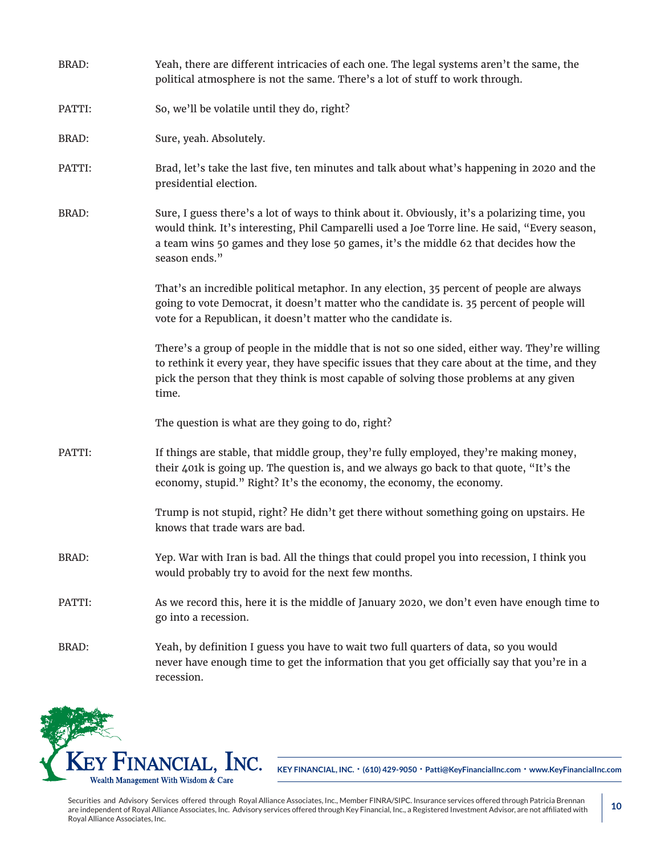| <b>BRAD:</b> | Yeah, there are different intricacies of each one. The legal systems aren't the same, the<br>political atmosphere is not the same. There's a lot of stuff to work through.                                                                                                                              |
|--------------|---------------------------------------------------------------------------------------------------------------------------------------------------------------------------------------------------------------------------------------------------------------------------------------------------------|
| PATTI:       | So, we'll be volatile until they do, right?                                                                                                                                                                                                                                                             |
| BRAD:        | Sure, yeah. Absolutely.                                                                                                                                                                                                                                                                                 |
| PATTI:       | Brad, let's take the last five, ten minutes and talk about what's happening in 2020 and the<br>presidential election.                                                                                                                                                                                   |
| <b>BRAD:</b> | Sure, I guess there's a lot of ways to think about it. Obviously, it's a polarizing time, you<br>would think. It's interesting, Phil Camparelli used a Joe Torre line. He said, "Every season,<br>a team wins 50 games and they lose 50 games, it's the middle 62 that decides how the<br>season ends." |
|              | That's an incredible political metaphor. In any election, 35 percent of people are always<br>going to vote Democrat, it doesn't matter who the candidate is. 35 percent of people will<br>vote for a Republican, it doesn't matter who the candidate is.                                                |
|              | There's a group of people in the middle that is not so one sided, either way. They're willing<br>to rethink it every year, they have specific issues that they care about at the time, and they<br>pick the person that they think is most capable of solving those problems at any given<br>time.      |
|              | The question is what are they going to do, right?                                                                                                                                                                                                                                                       |
| PATTI:       | If things are stable, that middle group, they're fully employed, they're making money,<br>their 401k is going up. The question is, and we always go back to that quote, "It's the<br>economy, stupid." Right? It's the economy, the economy, the economy.                                               |
|              | Trump is not stupid, right? He didn't get there without something going on upstairs. He<br>knows that trade wars are bad.                                                                                                                                                                               |
| <b>BRAD:</b> | Yep. War with Iran is bad. All the things that could propel you into recession, I think you<br>would probably try to avoid for the next few months.                                                                                                                                                     |
| PATTI:       | As we record this, here it is the middle of January 2020, we don't even have enough time to<br>go into a recession.                                                                                                                                                                                     |
| <b>BRAD:</b> | Yeah, by definition I guess you have to wait two full quarters of data, so you would<br>never have enough time to get the information that you get officially say that you're in a<br>recession.                                                                                                        |

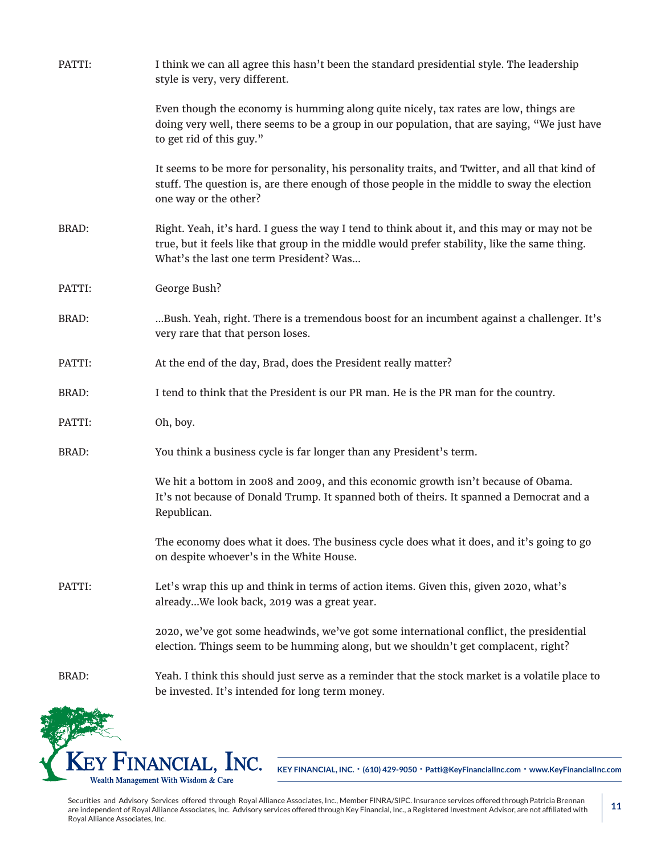| PATTI:       | I think we can all agree this hasn't been the standard presidential style. The leadership<br>style is very, very different.                                                                                                              |
|--------------|------------------------------------------------------------------------------------------------------------------------------------------------------------------------------------------------------------------------------------------|
|              | Even though the economy is humming along quite nicely, tax rates are low, things are<br>doing very well, there seems to be a group in our population, that are saying, "We just have<br>to get rid of this guy."                         |
|              | It seems to be more for personality, his personality traits, and Twitter, and all that kind of<br>stuff. The question is, are there enough of those people in the middle to sway the election<br>one way or the other?                   |
| <b>BRAD:</b> | Right. Yeah, it's hard. I guess the way I tend to think about it, and this may or may not be<br>true, but it feels like that group in the middle would prefer stability, like the same thing.<br>What's the last one term President? Was |
| PATTI:       | George Bush?                                                                                                                                                                                                                             |
| BRAD:        | Bush. Yeah, right. There is a tremendous boost for an incumbent against a challenger. It's<br>very rare that that person loses.                                                                                                          |
| PATTI:       | At the end of the day, Brad, does the President really matter?                                                                                                                                                                           |
| <b>BRAD:</b> | I tend to think that the President is our PR man. He is the PR man for the country.                                                                                                                                                      |
| PATTI:       | Oh, boy.                                                                                                                                                                                                                                 |
| <b>BRAD:</b> | You think a business cycle is far longer than any President's term.                                                                                                                                                                      |
|              | We hit a bottom in 2008 and 2009, and this economic growth isn't because of Obama.<br>It's not because of Donald Trump. It spanned both of theirs. It spanned a Democrat and a<br>Republican.                                            |
|              | The economy does what it does. The business cycle does what it does, and it's going to go<br>on despite whoever's in the White House.                                                                                                    |
| PATTI:       | Let's wrap this up and think in terms of action items. Given this, given 2020, what's<br>alreadyWe look back, 2019 was a great year.                                                                                                     |
|              | 2020, we've got some headwinds, we've got some international conflict, the presidential<br>election. Things seem to be humming along, but we shouldn't get complacent, right?                                                            |
| BRAD:        | Yeah. I think this should just serve as a reminder that the stock market is a volatile place to<br>be invested. It's intended for long term money.                                                                                       |
|              |                                                                                                                                                                                                                                          |

Securities and Advisory Services offered through Royal Alliance Associates, Inc., Member FINRA/SIPC. Insurance services offered through Patricia Brennan are independent of Royal Alliance Associates, Inc. Advisory services offered through Key Financial, Inc., a Registered Investment Advisor, are not affiliated with Royal Alliance Associates, Inc.

KEY FINANCIAL, INC. Wealth Management With Wisdom & Care